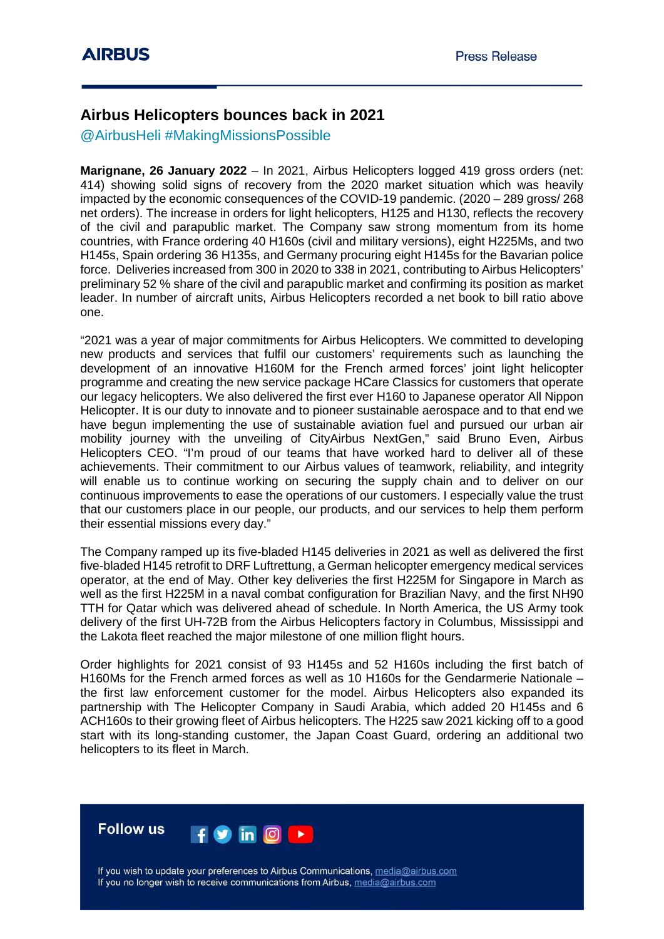## **Airbus Helicopters bounces back in 2021**

@AirbusHeli #MakingMissionsPossible

**Marignane, 26 January 2022** – In 2021, Airbus Helicopters logged 419 gross orders (net: 414) showing solid signs of recovery from the 2020 market situation which was heavily impacted by the economic consequences of the COVID-19 pandemic. (2020 – 289 gross/ 268 net orders). The increase in orders for light helicopters, H125 and H130, reflects the recovery of the civil and parapublic market. The Company saw strong momentum from its home countries, with France ordering 40 H160s (civil and military versions), eight H225Ms, and two H145s, Spain ordering 36 H135s, and Germany procuring eight H145s for the Bavarian police force. Deliveries increased from 300 in 2020 to 338 in 2021, contributing to Airbus Helicopters' preliminary 52 % share of the civil and parapublic market and confirming its position as market leader. In number of aircraft units, Airbus Helicopters recorded a net book to bill ratio above one.

"2021 was a year of major commitments for Airbus Helicopters. We committed to developing new products and services that fulfil our customers' requirements such as launching the development of an innovative H160M for the French armed forces' joint light helicopter programme and creating the new service package HCare Classics for customers that operate our legacy helicopters. We also delivered the first ever H160 to Japanese operator All Nippon Helicopter. It is our duty to innovate and to pioneer sustainable aerospace and to that end we have begun implementing the use of sustainable aviation fuel and pursued our urban air mobility journey with the unveiling of CityAirbus NextGen," said Bruno Even, Airbus Helicopters CEO. "I'm proud of our teams that have worked hard to deliver all of these achievements. Their commitment to our Airbus values of teamwork, reliability, and integrity will enable us to continue working on securing the supply chain and to deliver on our continuous improvements to ease the operations of our customers. I especially value the trust that our customers place in our people, our products, and our services to help them perform their essential missions every day."

The Company ramped up its five-bladed H145 deliveries in 2021 as well as delivered the first five-bladed H145 retrofit to DRF Luftrettung, a German helicopter emergency medical services operator, at the end of May. Other key deliveries the first H225M for Singapore in March as well as the first H225M in a naval combat configuration for Brazilian Navy, and the first NH90 TTH for Qatar which was delivered ahead of schedule. In North America, the US Army took delivery of the first UH-72B from the Airbus Helicopters factory in Columbus, Mississippi and the Lakota fleet reached the major milestone of one million flight hours.

Order highlights for 2021 consist of 93 H145s and 52 H160s including the first batch of H160Ms for the French armed forces as well as 10 H160s for the Gendarmerie Nationale – the first law enforcement customer for the model. Airbus Helicopters also expanded its partnership with The Helicopter Company in Saudi Arabia, which added 20 H145s and 6 ACH160s to their growing fleet of Airbus helicopters. The H225 saw 2021 kicking off to a good start with its long-standing customer, the Japan Coast Guard, ordering an additional two helicopters to its fleet in March.



If you wish to update your preferences to Airbus Communications, media@airbus.com If you no longer wish to receive communications from Airbus, media@airbus.com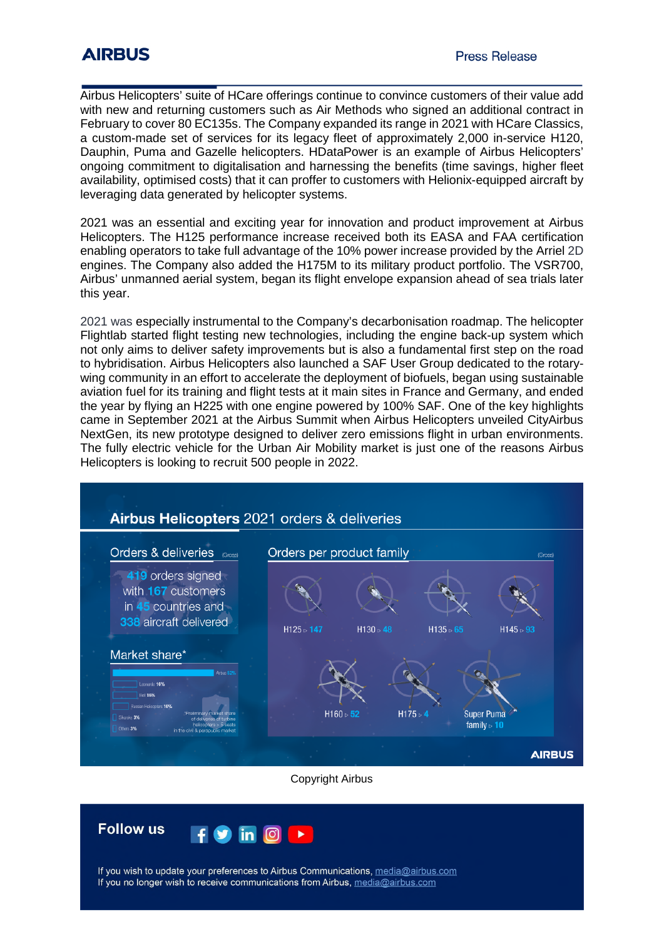## **AIRBUS**

Airbus Helicopters' suite of HCare offerings continue to convince customers of their value add with new and returning customers such as Air Methods who signed an additional contract in February to cover 80 EC135s. The Company expanded its range in 2021 with HCare Classics, a custom-made set of services for its legacy fleet of approximately 2,000 in-service H120, Dauphin, Puma and Gazelle helicopters. HDataPower is an example of Airbus Helicopters' ongoing commitment to digitalisation and harnessing the benefits (time savings, higher fleet availability, optimised costs) that it can proffer to customers with Helionix-equipped aircraft by leveraging data generated by helicopter systems.

2021 was an essential and exciting year for innovation and product improvement at Airbus Helicopters. The H125 performance increase received both its EASA and FAA certification enabling operators to take full advantage of the 10% power increase provided by the Arriel 2D engines. The Company also added the H175M to its military product portfolio. The VSR700, Airbus' unmanned aerial system, began its flight envelope expansion ahead of sea trials later this year.

2021 was especially instrumental to the Company's decarbonisation roadmap. The helicopter Flightlab started flight testing new technologies, including the engine back-up system which not only aims to deliver safety improvements but is also a fundamental first step on the road to hybridisation. Airbus Helicopters also launched a SAF User Group dedicated to the rotarywing community in an effort to accelerate the deployment of biofuels, began using sustainable aviation fuel for its training and flight tests at it main sites in France and Germany, and ended the year by flying an H225 with one engine powered by 100% SAF. One of the key highlights came in September 2021 at the Airbus Summit when Airbus Helicopters unveiled CityAirbus NextGen, its new prototype designed to deliver zero emissions flight in urban environments. The fully electric vehicle for the Urban Air Mobility market is just one of the reasons Airbus Helicopters is looking to recruit 500 people in 2022.





If you wish to update your preferences to Airbus Communications, media@airbus.com If you no longer wish to receive communications from Airbus, media@airbus.com